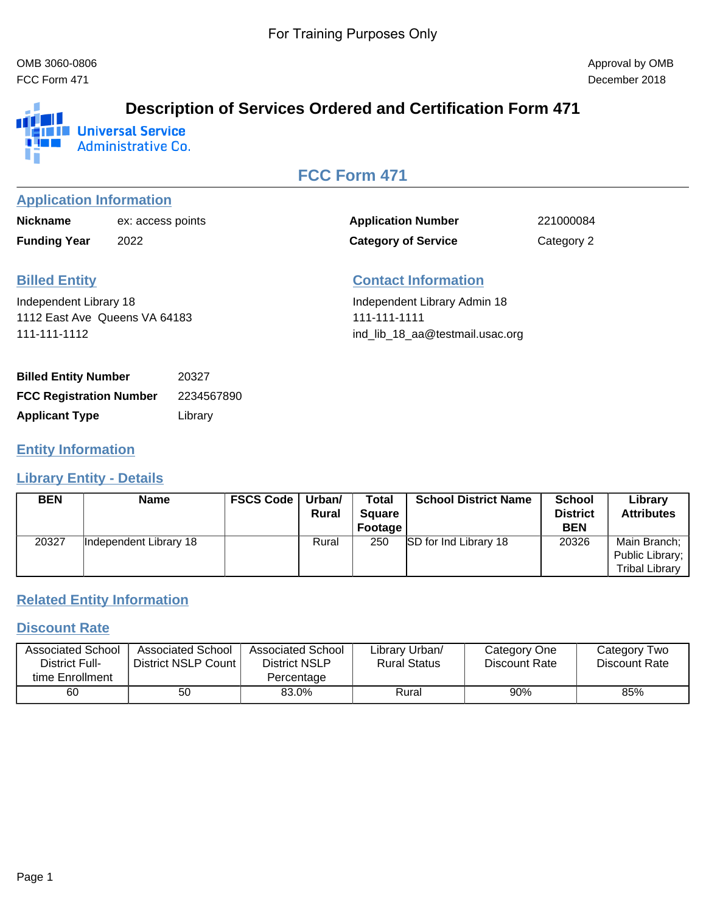FCC Form 471 December 2018

#### **Description of Services Ordered and Certification Form 471** الالق **IN IM Universal Service THE R Administrative Co.** Uñ

# **FCC Form 471**

### **Application Information**

| <b>Nickname</b>     | ex: access points |
|---------------------|-------------------|
| <b>Funding Year</b> | 2022              |

Application Number 221000084 **Category of Service** Category 2

# **Billed Entity**

Independent Library 18 1112 East Ave Queens VA 64183 111-111-1112

# **Contact Information**

Independent Library Admin 18 111-111-1111 ind\_lib\_18\_aa@testmail.usac.org

| <b>Billed Entity Number</b>    | 20327      |
|--------------------------------|------------|
| <b>FCC Registration Number</b> | 2234567890 |
| <b>Applicant Type</b>          | Library    |

### **Entity Information**

#### **Library Entity - Details**

| <b>BEN</b> | <b>Name</b>            | <b>FSCS Code</b> | Urban/<br><b>Rural</b> | <b>Total</b><br><b>Square</b><br>Footage | <b>School District Name</b>  | School<br><b>District</b><br><b>BEN</b> | Library<br><b>Attributes</b>                             |
|------------|------------------------|------------------|------------------------|------------------------------------------|------------------------------|-----------------------------------------|----------------------------------------------------------|
| 20327      | Independent Library 18 |                  | Rural                  | 250                                      | <b>SD</b> for Ind Library 18 | 20326                                   | Main Branch;<br>Public Library;<br><b>Tribal Library</b> |

# **Related Entity Information**

#### **Discount Rate**

| <b>Associated School</b>          | Associated School     | Associated School           | Library Urban/      | Category One  | Category Two  |
|-----------------------------------|-----------------------|-----------------------------|---------------------|---------------|---------------|
| District Full-<br>time Enrollment | District NSLP Count I | District NSLP<br>Percentage | <b>Rural Status</b> | Discount Rate | Discount Rate |
|                                   |                       |                             |                     |               |               |
| 60                                | 50                    | 83.0%                       | Rural               | 90%           | 85%           |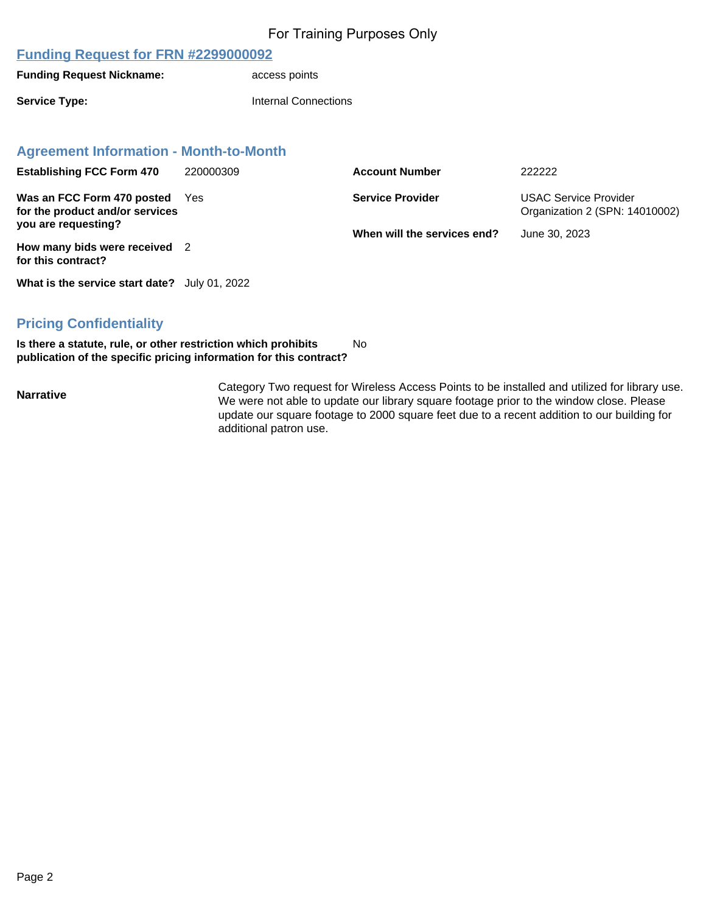#### **Funding Request for FRN #2299000092**

**Funding Request Nickname: access points** 

**Service Type: Internal Connections** 

#### **Agreement Information - Month-to-Month**

| <b>Establishing FCC Form 470</b>                                           | 220000309 | <b>Account Number</b>       | 222222                                                         |
|----------------------------------------------------------------------------|-----------|-----------------------------|----------------------------------------------------------------|
| Was an FCC Form 470 posted<br>for the product and/or services              | Yes       | <b>Service Provider</b>     | <b>USAC Service Provider</b><br>Organization 2 (SPN: 14010002) |
| you are requesting?<br>How many bids were received 2<br>for this contract? |           | When will the services end? | June 30, 2023                                                  |
|                                                                            |           |                             |                                                                |

**What is the service start date?** July 01, 2022

### **Pricing Confidentiality**

**Is there a statute, rule, or other restriction which prohibits publication of the specific pricing information for this contract?** No

**Narrative** Category Two request for Wireless Access Points to be installed and utilized for library use. We were not able to update our library square footage prior to the window close. Please update our square footage to 2000 square feet due to a recent addition to our building for additional patron use.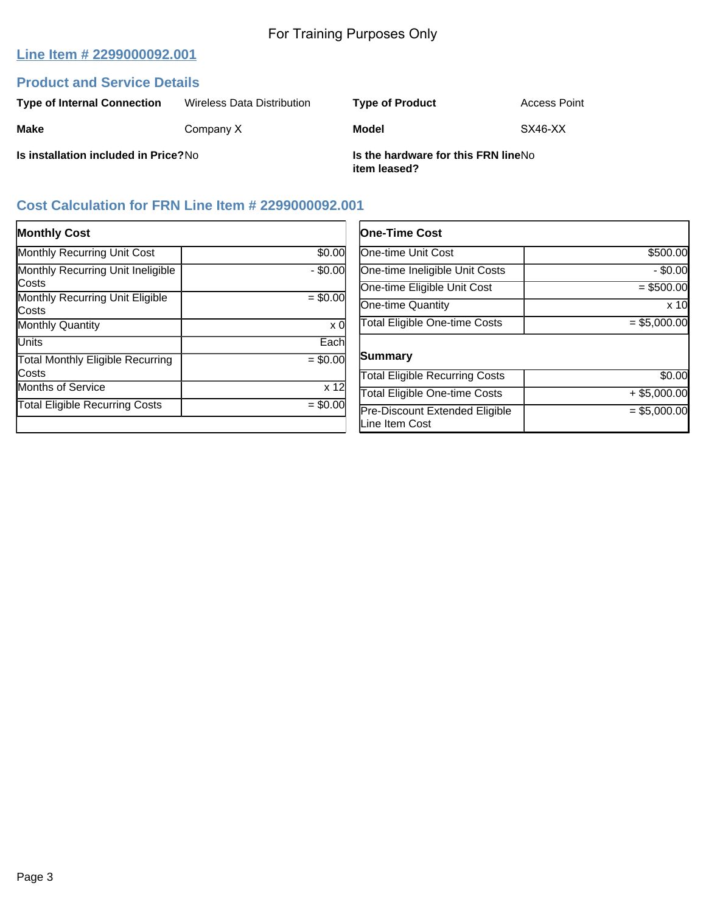# **Line Item # 2299000092.001**

## **Product and Service Details**

| <b>Type of Internal Connection</b>   | Wireless Data Distribution | <b>Type of Product</b>                              | Access Point |
|--------------------------------------|----------------------------|-----------------------------------------------------|--------------|
| <b>Make</b>                          | Company X                  | Model                                               | SX46-XX      |
| Is installation included in Price?No |                            | Is the hardware for this FRN lineNo<br>item leased? |              |

# **Cost Calculation for FRN Line Item # 2299000092.001**

| <b>Monthly Cost</b>                               |                 | One-Ti                      |
|---------------------------------------------------|-----------------|-----------------------------|
| <b>Monthly Recurring Unit Cost</b>                | \$0.00          | One-tim                     |
| Monthly Recurring Unit Ineligible                 | $-$ \$0.00      | One-tim                     |
| Costs<br>Monthly Recurring Unit Eligible<br>Costs | $= $0.00$       | One-tim<br>One-tim          |
| <b>Monthly Quantity</b>                           | x 0             | <b>Total El</b>             |
| <b>Units</b>                                      | Each            |                             |
| <b>Total Monthly Eligible Recurring</b><br>Costs  | $= $0.00$       | lSumma<br><b>Total El</b>   |
| <b>Months of Service</b>                          | x <sub>12</sub> | <b>Total El</b>             |
| <b>Total Eligible Recurring Costs</b>             | $= $0.00$       | Pre-Dis<br><b>L</b> ine Ite |

| <b>One-Time Cost</b>                             |                 |
|--------------------------------------------------|-----------------|
| <b>One-time Unit Cost</b>                        | \$500.00        |
| One-time Ineligible Unit Costs                   | $-$ \$0.00      |
| One-time Eligible Unit Cost                      | $= $500.00$     |
| One-time Quantity                                | x <sub>10</sub> |
| <b>Total Eligible One-time Costs</b>             | $= $5,000.00$   |
| <b>Summary</b>                                   |                 |
| <b>Total Eligible Recurring Costs</b>            | \$0.00          |
| <b>Total Eligible One-time Costs</b>             | $+$ \$5,000.00  |
| Pre-Discount Extended Eligible<br>Line Item Cost | $= $5,000.00$   |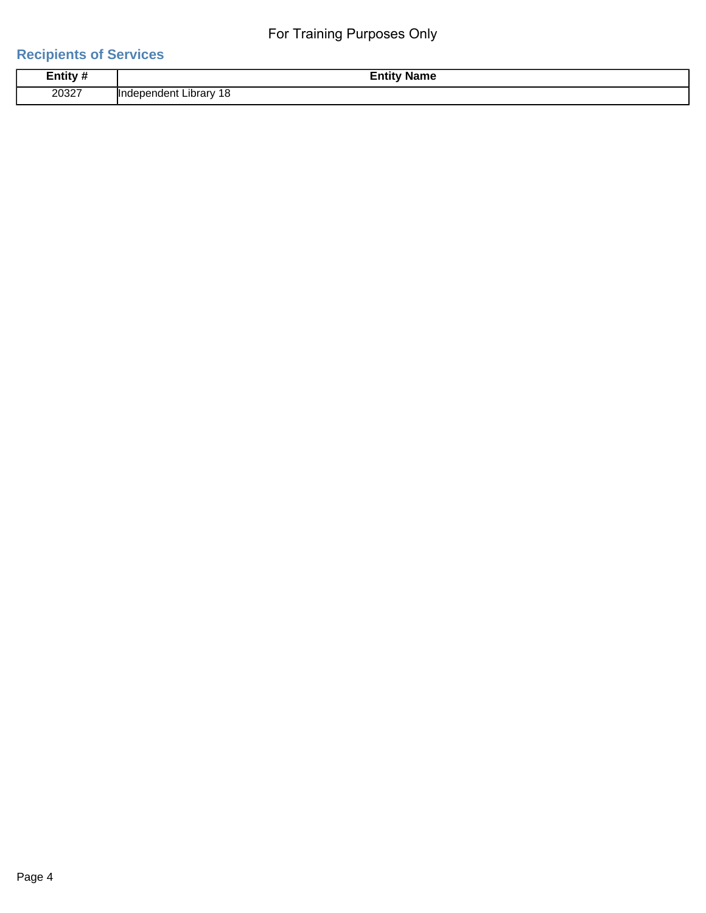# **Recipients of Services**

| Entity # | <b>Name</b><br>–⊔ur                      |
|----------|------------------------------------------|
|          | the contract of the contract of the con- |
| 20327    | Πr<br><b>Inrary</b><br>۱or<br>זר<br>те   |
|          | $\sim$                                   |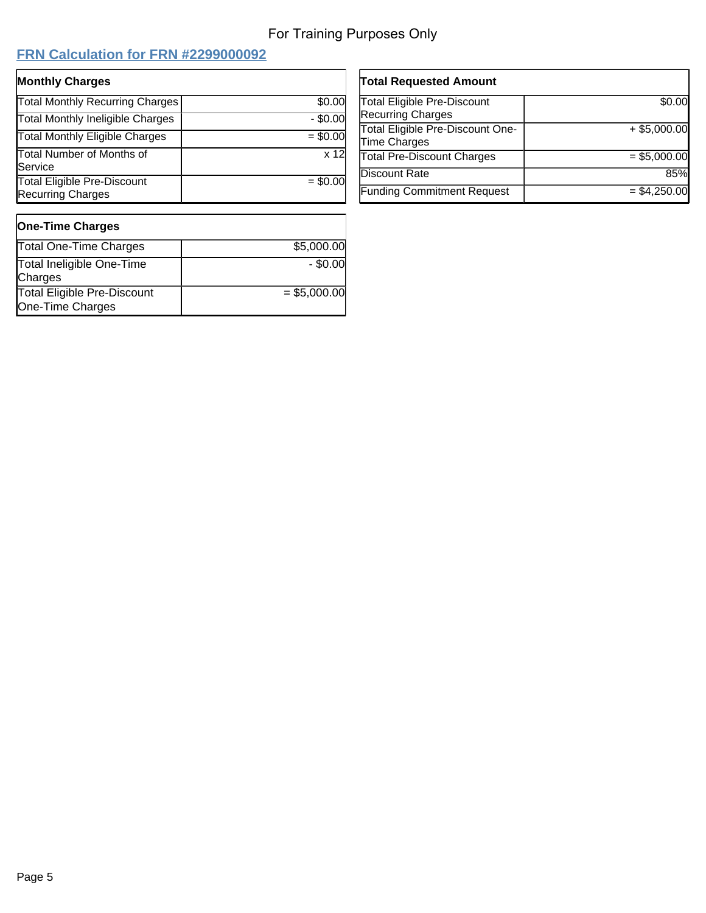$\overline{a}$ 

# **FRN Calculation for FRN #2299000092**

| <b>Monthly Charges</b>                                         |            |
|----------------------------------------------------------------|------------|
| Total Monthly Recurring Charges                                | \$0.00     |
| <b>Total Monthly Ineligible Charges</b>                        | $-$ \$0.00 |
| <b>Total Monthly Eligible Charges</b>                          | $= $0.00$  |
| <b>Total Number of Months of</b><br>Service                    | x 12       |
| <b>Total Eligible Pre-Discount</b><br><b>Recurring Charges</b> | $= $0.00$  |

| <b>Total Requested Amount</b>      |                |
|------------------------------------|----------------|
| <b>Total Eligible Pre-Discount</b> | \$0.00         |
| <b>Recurring Charges</b>           |                |
| Total Eligible Pre-Discount One-   | $+$ \$5,000.00 |
| Time Charges                       |                |
| <b>Total Pre-Discount Charges</b>  | $=$ \$5,000.00 |
| Discount Rate                      | 85%            |
| <b>Funding Commitment Request</b>  | $= $4,250.00$  |

| <b>One-Time Charges</b>                                |               |
|--------------------------------------------------------|---------------|
| <b>Total One-Time Charges</b>                          | \$5,000.00    |
| Total Ineligible One-Time<br>Charges                   | $-$ \$0.00    |
| <b>Total Eligible Pre-Discount</b><br>One-Time Charges | $= $5,000.00$ |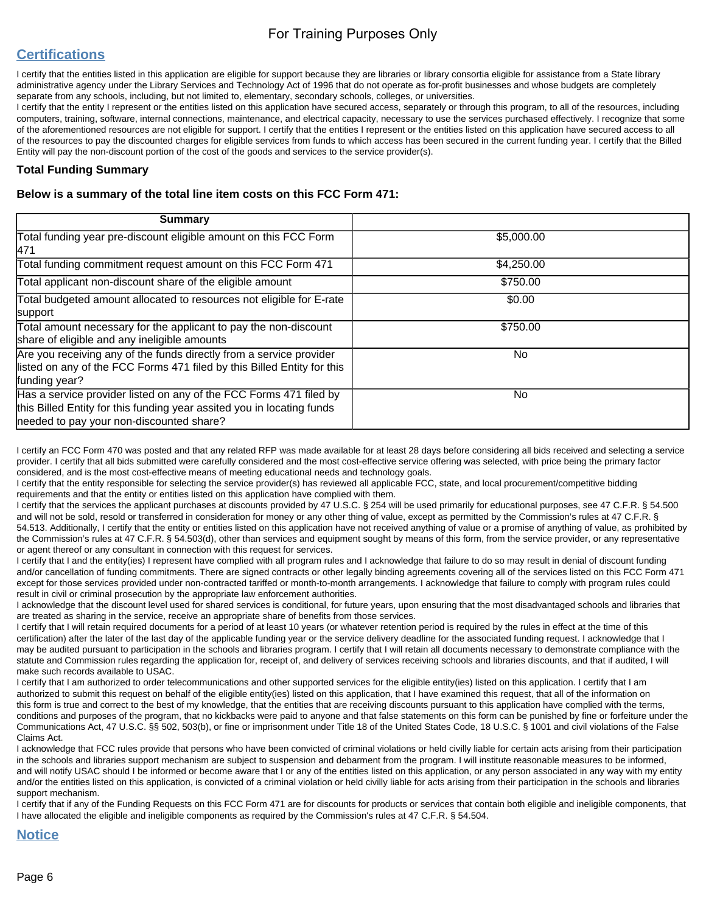# **Certifications**

I certify that the entities listed in this application are eligible for support because they are libraries or library consortia eligible for assistance from a State library administrative agency under the Library Services and Technology Act of 1996 that do not operate as for-profit businesses and whose budgets are completely separate from any schools, including, but not limited to, elementary, secondary schools, colleges, or universities.

I certify that the entity I represent or the entities listed on this application have secured access, separately or through this program, to all of the resources, including computers, training, software, internal connections, maintenance, and electrical capacity, necessary to use the services purchased effectively. I recognize that some of the aforementioned resources are not eligible for support. I certify that the entities I represent or the entities listed on this application have secured access to all of the resources to pay the discounted charges for eligible services from funds to which access has been secured in the current funding year. I certify that the Billed Entity will pay the non-discount portion of the cost of the goods and services to the service provider(s).

#### **Total Funding Summary**

#### **Below is a summary of the total line item costs on this FCC Form 471:**

| <b>Summary</b>                                                                                                                                                                           |            |
|------------------------------------------------------------------------------------------------------------------------------------------------------------------------------------------|------------|
| Total funding year pre-discount eligible amount on this FCC Form<br>471                                                                                                                  | \$5,000.00 |
| Total funding commitment request amount on this FCC Form 471                                                                                                                             | \$4,250.00 |
| Total applicant non-discount share of the eligible amount                                                                                                                                | \$750.00   |
| Total budgeted amount allocated to resources not eligible for E-rate<br>support                                                                                                          | \$0.00     |
| Total amount necessary for the applicant to pay the non-discount<br>share of eligible and any ineligible amounts                                                                         | \$750.00   |
| Are you receiving any of the funds directly from a service provider<br>listed on any of the FCC Forms 471 filed by this Billed Entity for this<br>funding year?                          | No.        |
| Has a service provider listed on any of the FCC Forms 471 filed by<br>this Billed Entity for this funding year assited you in locating funds<br>needed to pay your non-discounted share? | No.        |

I certify an FCC Form 470 was posted and that any related RFP was made available for at least 28 days before considering all bids received and selecting a service provider. I certify that all bids submitted were carefully considered and the most cost-effective service offering was selected, with price being the primary factor considered, and is the most cost-effective means of meeting educational needs and technology goals.

I certify that the entity responsible for selecting the service provider(s) has reviewed all applicable FCC, state, and local procurement/competitive bidding requirements and that the entity or entities listed on this application have complied with them.

I certify that the services the applicant purchases at discounts provided by 47 U.S.C. § 254 will be used primarily for educational purposes, see 47 C.F.R. § 54.500 and will not be sold, resold or transferred in consideration for money or any other thing of value, except as permitted by the Commission's rules at 47 C.F.R. § 54.513. Additionally, I certify that the entity or entities listed on this application have not received anything of value or a promise of anything of value, as prohibited by the Commission's rules at 47 C.F.R. § 54.503(d), other than services and equipment sought by means of this form, from the service provider, or any representative or agent thereof or any consultant in connection with this request for services.

I certify that I and the entity(ies) I represent have complied with all program rules and I acknowledge that failure to do so may result in denial of discount funding and/or cancellation of funding commitments. There are signed contracts or other legally binding agreements covering all of the services listed on this FCC Form 471 except for those services provided under non-contracted tariffed or month-to-month arrangements. I acknowledge that failure to comply with program rules could result in civil or criminal prosecution by the appropriate law enforcement authorities.

I acknowledge that the discount level used for shared services is conditional, for future years, upon ensuring that the most disadvantaged schools and libraries that are treated as sharing in the service, receive an appropriate share of benefits from those services.

I certify that I will retain required documents for a period of at least 10 years (or whatever retention period is required by the rules in effect at the time of this certification) after the later of the last day of the applicable funding year or the service delivery deadline for the associated funding request. I acknowledge that I may be audited pursuant to participation in the schools and libraries program. I certify that I will retain all documents necessary to demonstrate compliance with the statute and Commission rules regarding the application for, receipt of, and delivery of services receiving schools and libraries discounts, and that if audited, I will make such records available to USAC.

I certify that I am authorized to order telecommunications and other supported services for the eligible entity(ies) listed on this application. I certify that I am authorized to submit this request on behalf of the eligible entity(ies) listed on this application, that I have examined this request, that all of the information on this form is true and correct to the best of my knowledge, that the entities that are receiving discounts pursuant to this application have complied with the terms, conditions and purposes of the program, that no kickbacks were paid to anyone and that false statements on this form can be punished by fine or forfeiture under the Communications Act, 47 U.S.C. §§ 502, 503(b), or fine or imprisonment under Title 18 of the United States Code, 18 U.S.C. § 1001 and civil violations of the False Claims Act.

I acknowledge that FCC rules provide that persons who have been convicted of criminal violations or held civilly liable for certain acts arising from their participation in the schools and libraries support mechanism are subject to suspension and debarment from the program. I will institute reasonable measures to be informed, and will notify USAC should I be informed or become aware that I or any of the entities listed on this application, or any person associated in any way with my entity and/or the entities listed on this application, is convicted of a criminal violation or held civilly liable for acts arising from their participation in the schools and libraries support mechanism.

I certify that if any of the Funding Requests on this FCC Form 471 are for discounts for products or services that contain both eligible and ineligible components, that I have allocated the eligible and ineligible components as required by the Commission's rules at 47 C.F.R. § 54.504.

#### **Notice**